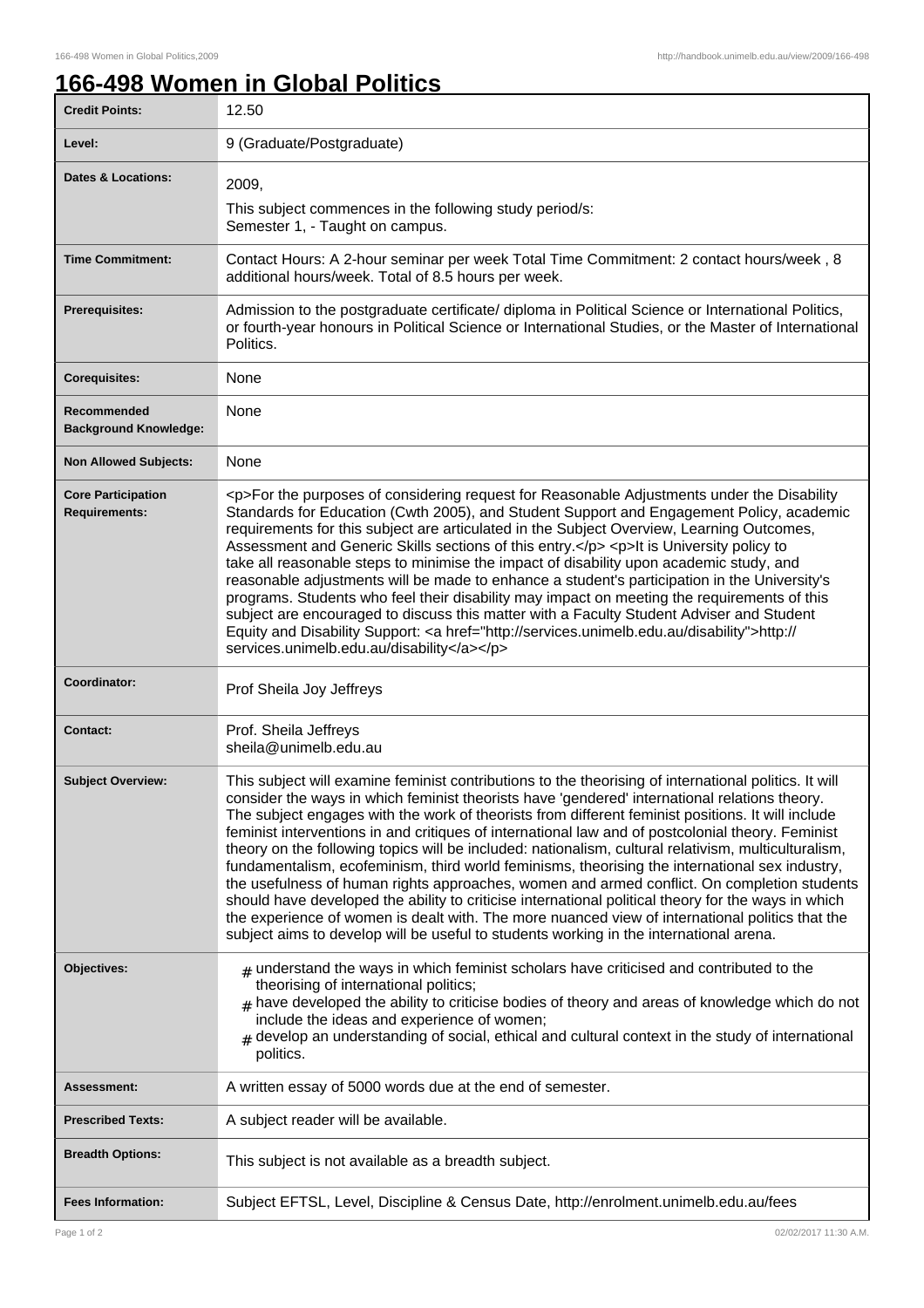ı

## **166-498 Women in Global Politics**

| <b>Credit Points:</b>                             | 12.50                                                                                                                                                                                                                                                                                                                                                                                                                                                                                                                                                                                                                                                                                                                                                                                                                                                                                                                                                                                                                         |
|---------------------------------------------------|-------------------------------------------------------------------------------------------------------------------------------------------------------------------------------------------------------------------------------------------------------------------------------------------------------------------------------------------------------------------------------------------------------------------------------------------------------------------------------------------------------------------------------------------------------------------------------------------------------------------------------------------------------------------------------------------------------------------------------------------------------------------------------------------------------------------------------------------------------------------------------------------------------------------------------------------------------------------------------------------------------------------------------|
| Level:                                            | 9 (Graduate/Postgraduate)                                                                                                                                                                                                                                                                                                                                                                                                                                                                                                                                                                                                                                                                                                                                                                                                                                                                                                                                                                                                     |
| <b>Dates &amp; Locations:</b>                     | 2009,<br>This subject commences in the following study period/s:<br>Semester 1, - Taught on campus.                                                                                                                                                                                                                                                                                                                                                                                                                                                                                                                                                                                                                                                                                                                                                                                                                                                                                                                           |
| <b>Time Commitment:</b>                           | Contact Hours: A 2-hour seminar per week Total Time Commitment: 2 contact hours/week, 8<br>additional hours/week. Total of 8.5 hours per week.                                                                                                                                                                                                                                                                                                                                                                                                                                                                                                                                                                                                                                                                                                                                                                                                                                                                                |
| <b>Prerequisites:</b>                             | Admission to the postgraduate certificate/ diploma in Political Science or International Politics,<br>or fourth-year honours in Political Science or International Studies, or the Master of International<br>Politics.                                                                                                                                                                                                                                                                                                                                                                                                                                                                                                                                                                                                                                                                                                                                                                                                       |
| <b>Corequisites:</b>                              | None                                                                                                                                                                                                                                                                                                                                                                                                                                                                                                                                                                                                                                                                                                                                                                                                                                                                                                                                                                                                                          |
| Recommended<br><b>Background Knowledge:</b>       | None                                                                                                                                                                                                                                                                                                                                                                                                                                                                                                                                                                                                                                                                                                                                                                                                                                                                                                                                                                                                                          |
| <b>Non Allowed Subjects:</b>                      | None                                                                                                                                                                                                                                                                                                                                                                                                                                                                                                                                                                                                                                                                                                                                                                                                                                                                                                                                                                                                                          |
| <b>Core Participation</b><br><b>Requirements:</b> | <p>For the purposes of considering request for Reasonable Adjustments under the Disability<br/>Standards for Education (Cwth 2005), and Student Support and Engagement Policy, academic<br/>requirements for this subject are articulated in the Subject Overview, Learning Outcomes,<br/>Assessment and Generic Skills sections of this entry.</p> <p>lt is University policy to<br/>take all reasonable steps to minimise the impact of disability upon academic study, and<br/>reasonable adjustments will be made to enhance a student's participation in the University's<br/>programs. Students who feel their disability may impact on meeting the requirements of this<br/>subject are encouraged to discuss this matter with a Faculty Student Adviser and Student<br/>Equity and Disability Support: &lt; a href="http://services.unimelb.edu.au/disability"&gt;http://<br/>services.unimelb.edu.au/disability</p>                                                                                                  |
| Coordinator:                                      | Prof Sheila Joy Jeffreys                                                                                                                                                                                                                                                                                                                                                                                                                                                                                                                                                                                                                                                                                                                                                                                                                                                                                                                                                                                                      |
| <b>Contact:</b>                                   | Prof. Sheila Jeffreys<br>sheila@unimelb.edu.au                                                                                                                                                                                                                                                                                                                                                                                                                                                                                                                                                                                                                                                                                                                                                                                                                                                                                                                                                                                |
| <b>Subject Overview:</b>                          | This subject will examine feminist contributions to the theorising of international politics. It will<br>consider the ways in which feminist theorists have 'gendered' international relations theory.<br>The subject engages with the work of theorists from different feminist positions. It will include<br>feminist interventions in and critiques of international law and of postcolonial theory. Feminist<br>theory on the following topics will be included: nationalism, cultural relativism, multiculturalism,<br>fundamentalism, ecofeminism, third world feminisms, theorising the international sex industry,<br>the usefulness of human rights approaches, women and armed conflict. On completion students<br>should have developed the ability to criticise international political theory for the ways in which<br>the experience of women is dealt with. The more nuanced view of international politics that the<br>subject aims to develop will be useful to students working in the international arena. |
| Objectives:                                       | $_{\#}$ understand the ways in which feminist scholars have criticised and contributed to the<br>theorising of international politics;<br>$_{\#}$ have developed the ability to criticise bodies of theory and areas of knowledge which do not<br>include the ideas and experience of women;<br>$#$ develop an understanding of social, ethical and cultural context in the study of international<br>politics.                                                                                                                                                                                                                                                                                                                                                                                                                                                                                                                                                                                                               |
| <b>Assessment:</b>                                | A written essay of 5000 words due at the end of semester.                                                                                                                                                                                                                                                                                                                                                                                                                                                                                                                                                                                                                                                                                                                                                                                                                                                                                                                                                                     |
| <b>Prescribed Texts:</b>                          | A subject reader will be available.                                                                                                                                                                                                                                                                                                                                                                                                                                                                                                                                                                                                                                                                                                                                                                                                                                                                                                                                                                                           |
| <b>Breadth Options:</b>                           | This subject is not available as a breadth subject.                                                                                                                                                                                                                                                                                                                                                                                                                                                                                                                                                                                                                                                                                                                                                                                                                                                                                                                                                                           |
| <b>Fees Information:</b>                          | Subject EFTSL, Level, Discipline & Census Date, http://enrolment.unimelb.edu.au/fees                                                                                                                                                                                                                                                                                                                                                                                                                                                                                                                                                                                                                                                                                                                                                                                                                                                                                                                                          |